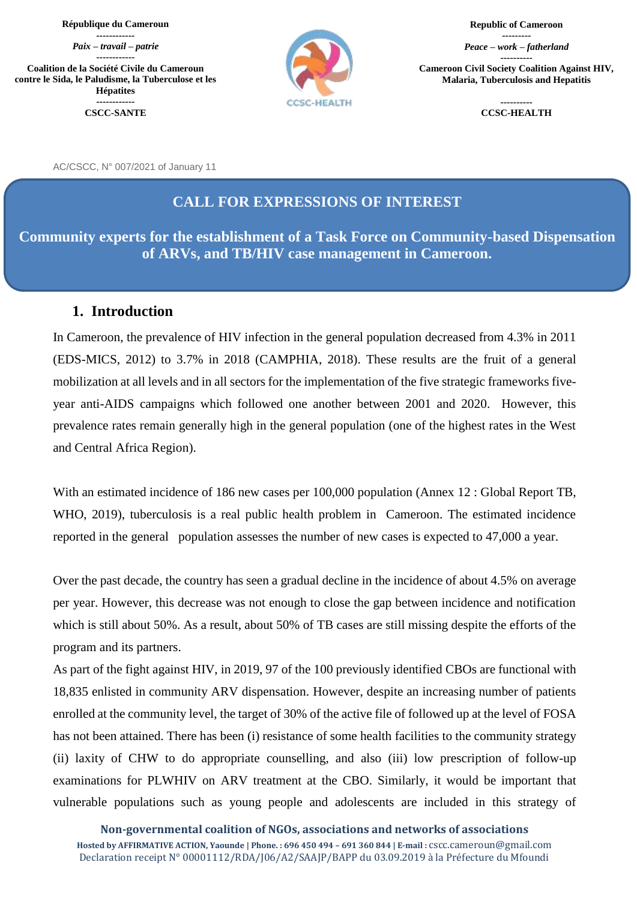#### **République du Cameroun**

**------------** *Paix – travail – patrie*

**------------ Coalition de la Société Civile du Cameroun contre le Sida, le Paludisme, la Tuberculose et les Hépatites ------------**

**CSCC-SANTE**



**Republic of Cameroon**

**---------** *Peace – work – fatherland* **---------- Cameroon Civil Society Coalition Against HIV, Malaria, Tuberculosis and Hepatitis**

> **---------- CCSC-HEALTH**

AC/CSCC, N° 007/2021 of January 11

#### **CALL FOR EXPRESSIONS OF INTEREST**

**Community experts for the establishment of a Task Force on Community-based Dispensation of ARVs, and TB/HIV case management in Cameroon.**

#### **1. Introduction**

In Cameroon, the prevalence of HIV infection in the general population decreased from 4.3% in 2011 (EDS-MICS, 2012) to 3.7% in 2018 (CAMPHIA, 2018). These results are the fruit of a general mobilization at all levels and in all sectors for the implementation of the five strategic frameworks fiveyear anti-AIDS campaigns which followed one another between 2001 and 2020. However, this prevalence rates remain generally high in the general population (one of the highest rates in the West and Central Africa Region).

With an estimated incidence of 186 new cases per 100,000 population (Annex 12 : Global Report TB, WHO, 2019), tuberculosis is a real public health problem in Cameroon. The estimated incidence reported in the general population assesses the number of new cases is expected to 47,000 a year.

Over the past decade, the country has seen a gradual decline in the incidence of about 4.5% on average per year. However, this decrease was not enough to close the gap between incidence and notification which is still about 50%. As a result, about 50% of TB cases are still missing despite the efforts of the program and its partners.

As part of the fight against HIV, in 2019, 97 of the 100 previously identified CBOs are functional with 18,835 enlisted in community ARV dispensation. However, despite an increasing number of patients enrolled at the community level, the target of 30% of the active file of followed up at the level of FOSA has not been attained. There has been (i) resistance of some health facilities to the community strategy (ii) laxity of CHW to do appropriate counselling, and also (iii) low prescription of follow-up examinations for PLWHIV on ARV treatment at the CBO. Similarly, it would be important that vulnerable populations such as young people and adolescents are included in this strategy of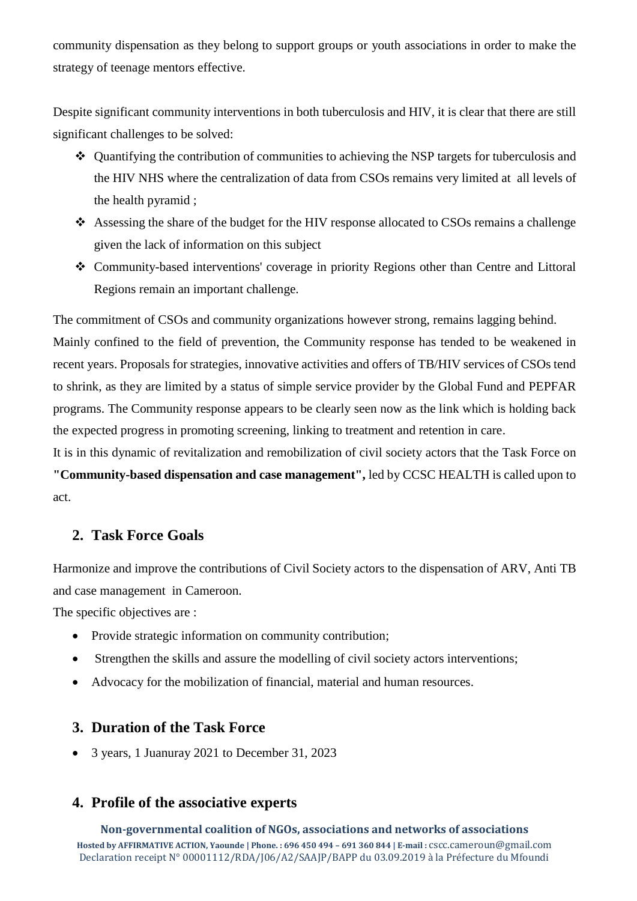community dispensation as they belong to support groups or youth associations in order to make the strategy of teenage mentors effective.

Despite significant community interventions in both tuberculosis and HIV, it is clear that there are still significant challenges to be solved:

- Quantifying the contribution of communities to achieving the NSP targets for tuberculosis and the HIV NHS where the centralization of data from CSOs remains very limited at all levels of the health pyramid ;
- Assessing the share of the budget for the HIV response allocated to CSOs remains a challenge given the lack of information on this subject
- Community-based interventions' coverage in priority Regions other than Centre and Littoral Regions remain an important challenge.

The commitment of CSOs and community organizations however strong, remains lagging behind. Mainly confined to the field of prevention, the Community response has tended to be weakened in recent years. Proposals for strategies, innovative activities and offers of TB/HIV services of CSOs tend to shrink, as they are limited by a status of simple service provider by the Global Fund and PEPFAR programs. The Community response appears to be clearly seen now as the link which is holding back the expected progress in promoting screening, linking to treatment and retention in care.

It is in this dynamic of revitalization and remobilization of civil society actors that the Task Force on **"Community-based dispensation and case management",** led by CCSC HEALTH is called upon to act.

# **2. Task Force Goals**

Harmonize and improve the contributions of Civil Society actors to the dispensation of ARV, Anti TB and case management in Cameroon.

The specific objectives are :

- Provide strategic information on community contribution;
- Strengthen the skills and assure the modelling of civil society actors interventions;
- Advocacy for the mobilization of financial, material and human resources.

# **3. Duration of the Task Force**

3 years, 1 Juanuray 2021 to December 31, 2023

# **4. Profile of the associative experts**

**Non-governmental coalition of NGOs, associations and networks of associations Hosted by AFFIRMATIVE ACTION, Yaounde | Phone. : 696 450 494 – 691 360 844 | E-mail :** [cscc.cameroun@gmail.com](mailto:cscc.cameroun@gmail.com) Declaration receipt N° 00001112/RDA/J06/A2/SAAJP/BAPP du 03.09.2019 à la Préfecture du Mfoundi